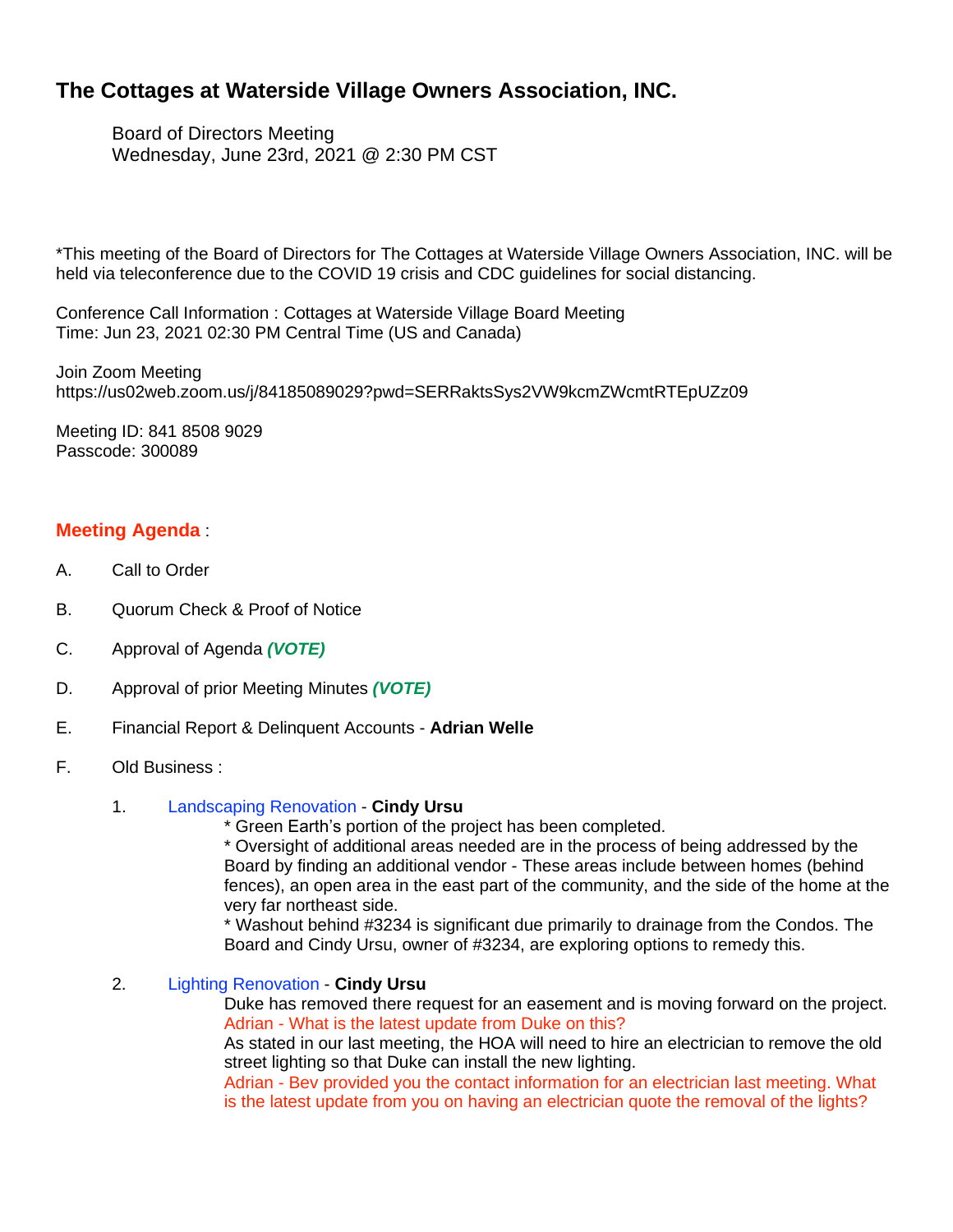# **The Cottages at Waterside Village Owners Association, INC.**

Board of Directors Meeting Wednesday, June 23rd, 2021 @ 2:30 PM CST

\*This meeting of the Board of Directors for The Cottages at Waterside Village Owners Association, INC. will be held via teleconference due to the COVID 19 crisis and CDC guidelines for social distancing.

Conference Call Information : Cottages at Waterside Village Board Meeting Time: Jun 23, 2021 02:30 PM Central Time (US and Canada)

Join Zoom Meeting https://us02web.zoom.us/j/84185089029?pwd=SERRaktsSys2VW9kcmZWcmtRTEpUZz09

Meeting ID: 841 8508 9029 Passcode: 300089

# **Meeting Agenda** :

- A. Call to Order
- B. Quorum Check & Proof of Notice
- C. Approval of Agenda *(VOTE)*
- D. Approval of prior Meeting Minutes *(VOTE)*
- E. Financial Report & Delinquent Accounts **Adrian Welle**
- F. Old Business :
	- 1. Landscaping Renovation **Cindy Ursu**
		- \* Green Earth's portion of the project has been completed.

\* Oversight of additional areas needed are in the process of being addressed by the Board by finding an additional vendor - These areas include between homes (behind fences), an open area in the east part of the community, and the side of the home at the very far northeast side.

\* Washout behind #3234 is significant due primarily to drainage from the Condos. The Board and Cindy Ursu, owner of #3234, are exploring options to remedy this.

2. Lighting Renovation - **Cindy Ursu**

Duke has removed there request for an easement and is moving forward on the project. Adrian - What is the latest update from Duke on this?

As stated in our last meeting, the HOA will need to hire an electrician to remove the old street lighting so that Duke can install the new lighting.

Adrian - Bev provided you the contact information for an electrician last meeting. What is the latest update from you on having an electrician quote the removal of the lights?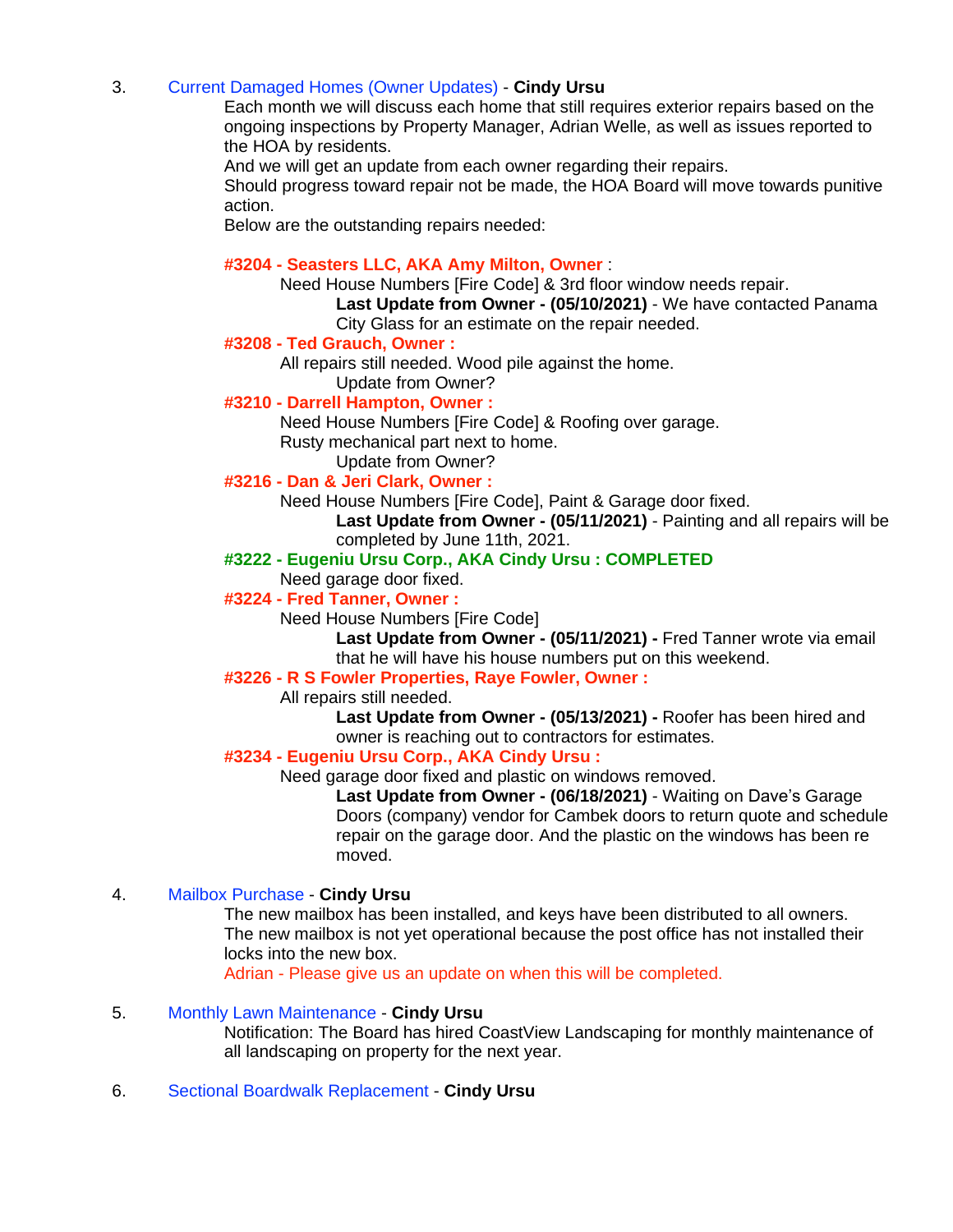## 3. Current Damaged Homes (Owner Updates) - **Cindy Ursu**

Each month we will discuss each home that still requires exterior repairs based on the ongoing inspections by Property Manager, Adrian Welle, as well as issues reported to the HOA by residents.

And we will get an update from each owner regarding their repairs.

Should progress toward repair not be made, the HOA Board will move towards punitive action.

Below are the outstanding repairs needed:

## **#3204 - Seasters LLC, AKA Amy Milton, Owner** :

Need House Numbers [Fire Code] & 3rd floor window needs repair.

**Last Update from Owner - (05/10/2021)** - We have contacted Panama City Glass for an estimate on the repair needed.

#### **#3208 - Ted Grauch, Owner :**

All repairs still needed. Wood pile against the home.

# Update from Owner?

# **#3210 - Darrell Hampton, Owner :**

Need House Numbers [Fire Code] & Roofing over garage.

Rusty mechanical part next to home.

#### Update from Owner? **#3216 - Dan & Jeri Clark, Owner :**

Need House Numbers [Fire Code], Paint & Garage door fixed.

**Last Update from Owner - (05/11/2021)** - Painting and all repairs will be completed by June 11th, 2021.

## **#3222 - Eugeniu Ursu Corp., AKA Cindy Ursu : COMPLETED**

Need garage door fixed.

# **#3224 - Fred Tanner, Owner :**

Need House Numbers [Fire Code]

**Last Update from Owner - (05/11/2021) -** Fred Tanner wrote via email that he will have his house numbers put on this weekend.

## **#3226 - R S Fowler Properties, Raye Fowler, Owner :**

All repairs still needed.

**Last Update from Owner - (05/13/2021) -** Roofer has been hired and owner is reaching out to contractors for estimates.

## **#3234 - Eugeniu Ursu Corp., AKA Cindy Ursu :**

Need garage door fixed and plastic on windows removed.

**Last Update from Owner - (06/18/2021)** - Waiting on Dave's Garage Doors (company) vendor for Cambek doors to return quote and schedule repair on the garage door. And the plastic on the windows has been re moved.

## 4. Mailbox Purchase - **Cindy Ursu**

The new mailbox has been installed, and keys have been distributed to all owners. The new mailbox is not yet operational because the post office has not installed their locks into the new box.

Adrian - Please give us an update on when this will be completed.

## 5. Monthly Lawn Maintenance - **Cindy Ursu**

Notification: The Board has hired CoastView Landscaping for monthly maintenance of all landscaping on property for the next year.

6. Sectional Boardwalk Replacement - **Cindy Ursu**